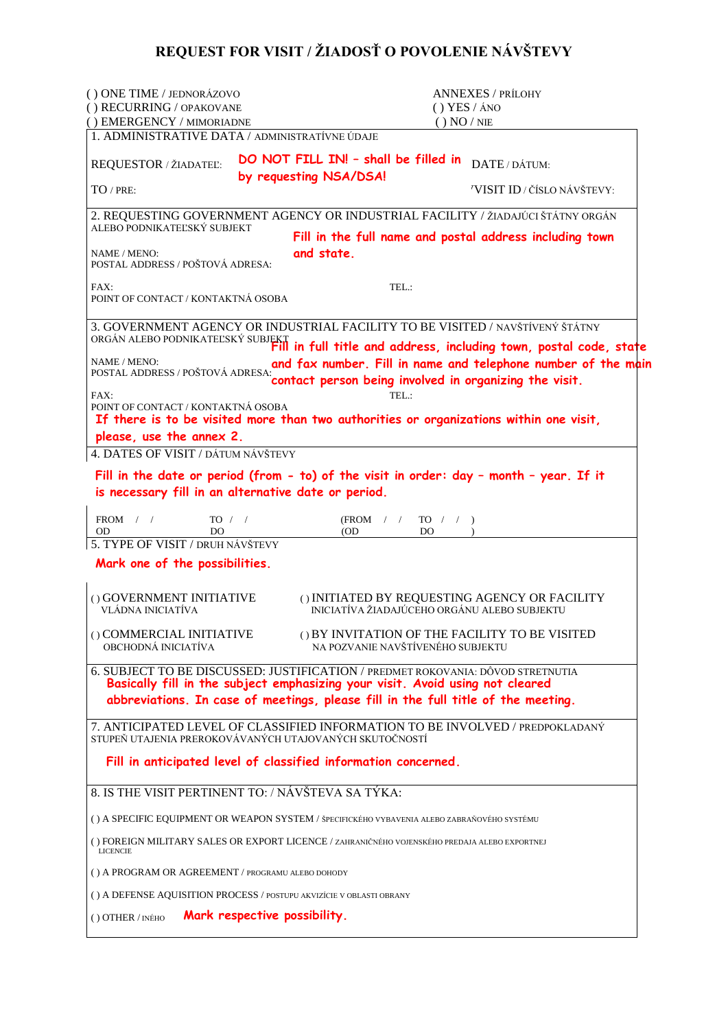## **REQUEST FOR VISIT / ŽIADOSŤ O POVOLENIE NÁVŠTEVY**

| () ONE TIME / JEDNORÁZOVO                                            | <b>ANNEXES / PRÍLOHY</b>                                                                                                                                         |
|----------------------------------------------------------------------|------------------------------------------------------------------------------------------------------------------------------------------------------------------|
| () RECURRING / OPAKOVANE<br>() EMERGENCY / MIMORIADNE                | $()$ YES $/$ ÁNO<br>() NO / NE                                                                                                                                   |
| 1. ADMINISTRATIVE DATA / ADMINISTRATÍVNE ÚDAJE                       |                                                                                                                                                                  |
| REQUESTOR / ŽIADATEĽ:                                                | DO NOT FILL IN! - shall be filled in<br>DATE/DÁTUM:<br>by requesting NSA/DSA!                                                                                    |
| $TO$ / PRE:                                                          | 'VISIT ID / ČÍSLO NÁVŠTEVY:                                                                                                                                      |
| ALEBO PODNIKATEĽSKÝ SUBJEKT                                          | 2. REQUESTING GOVERNMENT AGENCY OR INDUSTRIAL FACILITY / ŽIADAJÚCI ŠTÁTNY ORGÁN                                                                                  |
|                                                                      | Fill in the full name and postal address including town                                                                                                          |
| NAME / MENO:<br>POSTAL ADDRESS / POŠTOVÁ ADRESA:                     | and state.                                                                                                                                                       |
| FAX:<br>POINT OF CONTACT / KONTAKTNÁ OSOBA                           | TEL:                                                                                                                                                             |
|                                                                      | 3. GOVERNMENT AGENCY OR INDUSTRIAL FACILITY TO BE VISITED / NAVŠTÍVENÝ ŠTÁTNY                                                                                    |
| NAME / MENO:                                                         | ORGÁN ALEBO PODNIKATEĽSKÝ SUBJEKT<br>Fill in full title and address, including town, postal code, state                                                          |
| POSTAL ADDRESS / POŠTOVÁ ADRESA:                                     | and fax number. Fill in name and telephone number of the main<br>contact person being involved in organizing the visit.                                          |
| FAX:<br>POINT OF CONTACT / KONTAKTNÁ OSOBA                           | TEL:<br>If there is to be visited more than two authorities or organizations within one visit,                                                                   |
| please, use the annex 2.                                             |                                                                                                                                                                  |
| 4. DATES OF VISIT / DÁTUM NÁVŠTEVY                                   |                                                                                                                                                                  |
| is necessary fill in an alternative date or period.                  | Fill in the date or period (from - to) of the visit in order: day - month - year. If it                                                                          |
|                                                                      |                                                                                                                                                                  |
| FROM $/$ /<br>TO / /<br>OD<br>DO                                     | $(FROM \t/ \t/$<br>TO / /<br>(OD<br>DO                                                                                                                           |
| 5. TYPE OF VISIT / DRUH NÁVŠTEVY                                     |                                                                                                                                                                  |
| Mark one of the possibilities.                                       |                                                                                                                                                                  |
| () GOVERNMENT INITIATIVE<br>VLÁDNA INICIATÍVA                        | () INITIATED BY REQUESTING AGENCY OR FACILITY<br>INICIATÍVA ŽIADAJÚCEHO ORGÁNU ALEBO SUBJEKTU                                                                    |
| () COMMERCIAL INITIATIVE<br>OBCHODNÁ INICIATÍVA                      | () BY INVITATION OF THE FACILITY TO BE VISITED<br>NA POZVANIE NAVŠTÍVENÉHO SUBJEKTU                                                                              |
|                                                                      | 6. SUBJECT TO BE DISCUSSED: JUSTIFICATION / PREDMET ROKOVANIA: DÔVOD STRETNUTIA<br>Basically fill in the subject emphasizing your visit. Avoid using not cleared |
|                                                                      | abbreviations. In case of meetings, please fill in the full title of the meeting.                                                                                |
| STUPEŇ UTAJENIA PREROKOVÁVANÝCH UTAJOVANÝCH SKUTOČNOSTÍ              | 7. ANTICIPATED LEVEL OF CLASSIFIED INFORMATION TO BE INVOLVED / PREDPOKLADANÝ                                                                                    |
| Fill in anticipated level of classified information concerned.       |                                                                                                                                                                  |
| 8. IS THE VISIT PERTINENT TO: / NÁVŠTEVA SA TÝKA:                    |                                                                                                                                                                  |
|                                                                      | () A SPECIFIC EQUIPMENT OR WEAPON SYSTEM / ŠPECIFICKÉHO VYBAVENIA ALEBO ZABRAŇOVÉHO SYSTÉMU                                                                      |
| <b>LICENCIE</b>                                                      | () FOREIGN MILITARY SALES OR EXPORT LICENCE / ZAHRANIČNÉHO VOJENSKÉHO PREDAJA ALEBO EXPORTNEJ                                                                    |
| () A PROGRAM OR AGREEMENT / PROGRAMU ALEBO DOHODY                    |                                                                                                                                                                  |
| () A DEFENSE AQUISITION PROCESS / POSTUPU AKVIZÍCIE V OBLASTI OBRANY |                                                                                                                                                                  |
| Mark respective possibility.<br>() OTHER / INÉHO                     |                                                                                                                                                                  |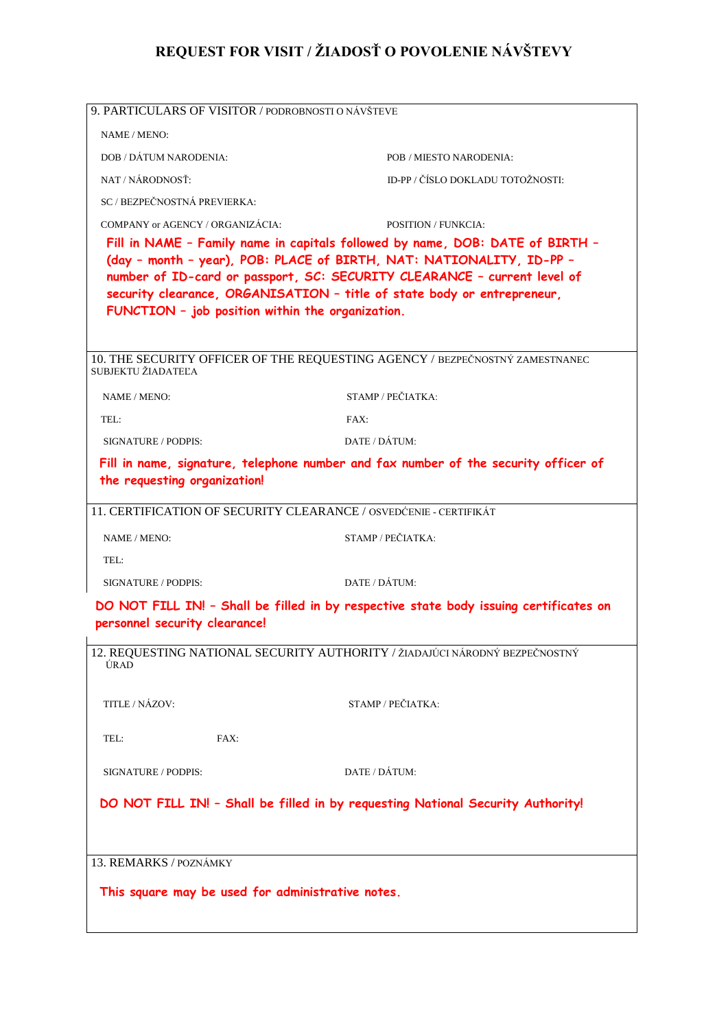## **REQUEST FOR VISIT / ŽIADOSŤ O POVOLENIE NÁVŠTEVY**

| 9. PARTICULARS OF VISITOR / PODROBNOSTI O NÁVŠTEVE                                                                                                                                                                                                                                                                                                               |                                                                                     |  |  |
|------------------------------------------------------------------------------------------------------------------------------------------------------------------------------------------------------------------------------------------------------------------------------------------------------------------------------------------------------------------|-------------------------------------------------------------------------------------|--|--|
| NAME / MENO:                                                                                                                                                                                                                                                                                                                                                     |                                                                                     |  |  |
| DOB / DÁTUM NARODENIA:                                                                                                                                                                                                                                                                                                                                           | POB / MIESTO NARODENIA:                                                             |  |  |
| NAT / NÁRODNOSŤ·                                                                                                                                                                                                                                                                                                                                                 | ID-PP / ČÍSLO DOKLADU TOTOŽNOSTI:                                                   |  |  |
| SC / BEZPEČNOSTNÁ PREVIERKA:                                                                                                                                                                                                                                                                                                                                     |                                                                                     |  |  |
| COMPANY or AGENCY / ORGANIZÁCIA:                                                                                                                                                                                                                                                                                                                                 | <b>POSITION / FUNKCIA:</b>                                                          |  |  |
| Fill in NAME - Family name in capitals followed by name, DOB: DATE of BIRTH -<br>(day - month - year), POB: PLACE of BIRTH, NAT: NATIONALITY, ID-PP -<br>number of ID-card or passport, SC: SECURITY CLEARANCE - current level of<br>security clearance, ORGANISATION - title of state body or entrepreneur,<br>FUNCTION - job position within the organization. |                                                                                     |  |  |
| SUBJEKTU ŽIADATEĽA                                                                                                                                                                                                                                                                                                                                               | 10. THE SECURITY OFFICER OF THE REQUESTING AGENCY / BEZPEČNOSTNÝ ZAMESTNANEC        |  |  |
| NAME / MENO:                                                                                                                                                                                                                                                                                                                                                     | STAMP / PEČIATKA:                                                                   |  |  |
| TEL:                                                                                                                                                                                                                                                                                                                                                             | FAX:                                                                                |  |  |
| SIGNATURE / PODPIS:                                                                                                                                                                                                                                                                                                                                              | DATE / DÁTUM:                                                                       |  |  |
| the requesting organization!                                                                                                                                                                                                                                                                                                                                     | Fill in name, signature, telephone number and fax number of the security officer of |  |  |
| 11. CERTIFICATION OF SECURITY CLEARANCE / OSVEDĆENIE - CERTIFIKÁT                                                                                                                                                                                                                                                                                                |                                                                                     |  |  |
| NAME / MENO:                                                                                                                                                                                                                                                                                                                                                     | STAMP / PEČIATKA:                                                                   |  |  |
| TEL:                                                                                                                                                                                                                                                                                                                                                             |                                                                                     |  |  |
| SIGNATURE / PODPIS:                                                                                                                                                                                                                                                                                                                                              | DATE / DÁTUM·                                                                       |  |  |
| DO NOT FILL IN! - Shall be filled in by respective state body issuing certificates on<br>personnel security clearance!                                                                                                                                                                                                                                           |                                                                                     |  |  |
| ÚRAD                                                                                                                                                                                                                                                                                                                                                             | 12. REQUESTING NATIONAL SECURITY AUTHORITY / ŽIADAJÚCI NÁRODNÝ BEZPEČNOSTNÝ         |  |  |
| TITLE / NÁZOV:                                                                                                                                                                                                                                                                                                                                                   | STAMP / PEČIATKA:                                                                   |  |  |
| TEL:<br>FAX:                                                                                                                                                                                                                                                                                                                                                     |                                                                                     |  |  |
| SIGNATURE / PODPIS:                                                                                                                                                                                                                                                                                                                                              | DATE / DÁTUM:                                                                       |  |  |
| DO NOT FILL IN! - Shall be filled in by requesting National Security Authority!                                                                                                                                                                                                                                                                                  |                                                                                     |  |  |
| 13. REMARKS / POZNÁMKY                                                                                                                                                                                                                                                                                                                                           |                                                                                     |  |  |
| This square may be used for administrative notes.                                                                                                                                                                                                                                                                                                                |                                                                                     |  |  |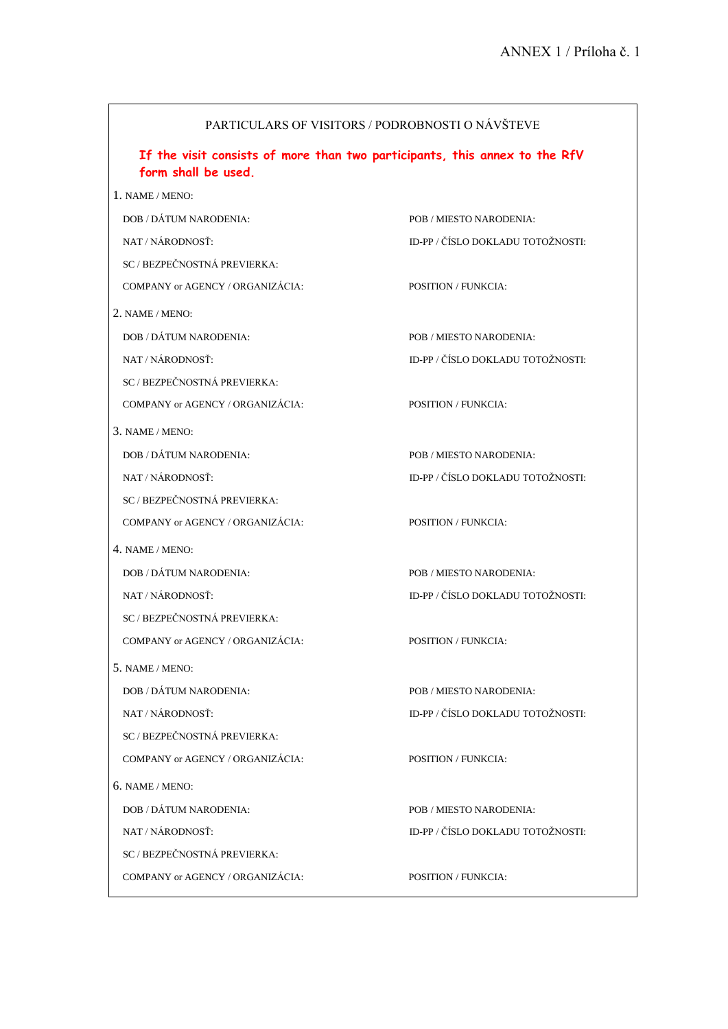| PARTICULARS OF VISITORS / PODROBNOSTI O NÁVŠTEVE                                                  |                                   |  |
|---------------------------------------------------------------------------------------------------|-----------------------------------|--|
| If the visit consists of more than two participants, this annex to the RfV<br>form shall be used. |                                   |  |
| 1. NAME / MENO:                                                                                   |                                   |  |
| DOB / DÁTUM NARODENIA:                                                                            | POB / MIESTO NARODENIA:           |  |
| NAT / NÁRODNOSŤ:                                                                                  | ID-PP / ČÍSLO DOKLADU TOTOŽNOSTI: |  |
| SC / BEZPEČNOSTNÁ PREVIERKA:                                                                      |                                   |  |
| COMPANY or AGENCY / ORGANIZÁCIA:                                                                  | <b>POSITION / FUNKCIA:</b>        |  |
| 2. NAME / MENO:                                                                                   |                                   |  |
| DOB / DÁTUM NARODENIA:                                                                            | POB / MIESTO NARODENIA:           |  |
| NAT / NÁRODNOSŤ·                                                                                  | ID-PP / ČÍSLO DOKLADU TOTOŽNOSTI: |  |
| SC / BEZPEČNOSTNÁ PREVIERKA:                                                                      |                                   |  |
| COMPANY or AGENCY / ORGANIZÁCIA:                                                                  | <b>POSITION / FUNKCIA:</b>        |  |
| 3. NAME/MENO:                                                                                     |                                   |  |
| DOB / DÁTUM NARODENIA:                                                                            | POB / MIESTO NARODENIA:           |  |
| NAT / NÁRODNOSŤ:                                                                                  | ID-PP / ČÍSLO DOKLADU TOTOŽNOSTI: |  |
| SC / BEZPEČNOSTNÁ PREVIERKA:                                                                      |                                   |  |
| COMPANY or AGENCY / ORGANIZÁCIA:                                                                  | <b>POSITION / FUNKCIA:</b>        |  |
| 4. NAME / MENO:                                                                                   |                                   |  |
| DOB / DÁTUM NARODENIA:                                                                            | POB / MIESTO NARODENIA:           |  |
| NAT / NÁRODNOSŤ:                                                                                  | ID-PP / ČÍSLO DOKLADU TOTOŽNOSTI: |  |
| SC / BEZPEČNOSTNÁ PREVIERKA:                                                                      |                                   |  |
| COMPANY or AGENCY / ORGANIZÁCIA:                                                                  | <b>POSITION / FUNKCIA:</b>        |  |
| 5. NAME / MENO:                                                                                   |                                   |  |
| DOB / DÁTUM NARODENIA:                                                                            | POB / MIESTO NARODENIA:           |  |
| NAT / NÁRODNOSŤ:                                                                                  | ID-PP / ČÍSLO DOKLADU TOTOŽNOSTI: |  |
| SC / BEZPEČNOSTNÁ PREVIERKA:                                                                      |                                   |  |
| COMPANY or AGENCY / ORGANIZÁCIA:                                                                  | <b>POSITION / FUNKCIA:</b>        |  |
| 6. NAME / MENO:                                                                                   |                                   |  |
| DOB / DÁTUM NARODENIA:                                                                            | POB / MIESTO NARODENIA:           |  |
| NAT / NÁRODNOSŤ:                                                                                  | ID-PP / ČÍSLO DOKLADU TOTOŽNOSTI: |  |
| SC / BEZPEČNOSTNÁ PREVIERKA:                                                                      |                                   |  |
| COMPANY or AGENCY / ORGANIZÁCIA:                                                                  | <b>POSITION / FUNKCIA:</b>        |  |

<u> 1980 - Johann Barnett, fransk politik (f. 1980)</u>

 $\blacksquare$